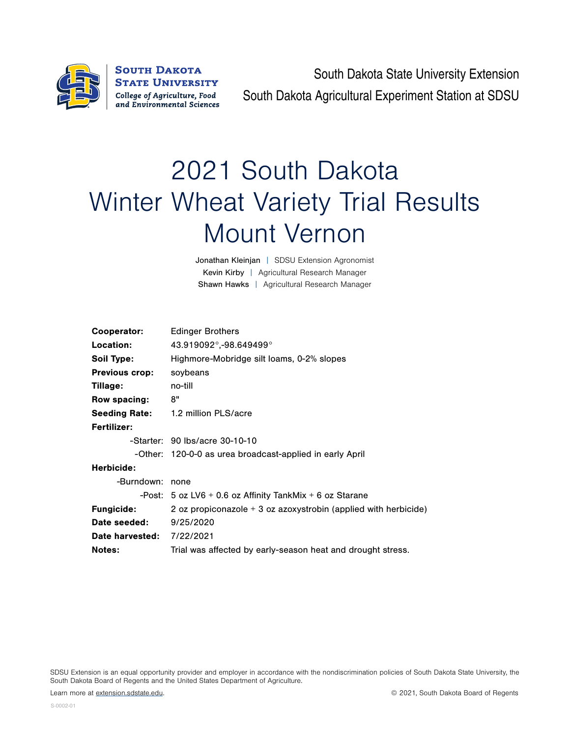

South Dakota State University Extension South Dakota Agricultural Experiment Station at SDSU

## 2021 South Dakota Winter Wheat Variety Trial Results Mount Vernon

Jonathan Kleinjan | SDSU Extension Agronomist Kevin Kirby | Agricultural Research Manager Shawn Hawks | Agricultural Research Manager

| Cooperator:                      | <b>Edinger Brothers</b>                                           |
|----------------------------------|-------------------------------------------------------------------|
| Location:                        | 43.919092°,-98.649499°                                            |
| Soil Type:                       | Highmore-Mobridge silt loams, 0-2% slopes                         |
| <b>Previous crop:</b>            | soybeans                                                          |
| Tillage:                         | no-till                                                           |
| Row spacing:                     | 8"                                                                |
| <b>Seeding Rate:</b>             | 1.2 million PLS/acre                                              |
| <b>Fertilizer:</b>               |                                                                   |
|                                  | -Starter: 90 lbs/acre 30-10-10                                    |
|                                  | -Other: 120-0-0 as urea broadcast-applied in early April          |
| Herbicide:                       |                                                                   |
| -Burndown:                       | none                                                              |
|                                  | -Post: $5$ oz LV6 + 0.6 oz Affinity TankMix + 6 oz Starane        |
| <b>Fungicide:</b>                | 2 oz propiconazole $+$ 3 oz azoxystrobin (applied with herbicide) |
| Date seeded:                     | 9/25/2020                                                         |
| <b>Date harvested: 7/22/2021</b> |                                                                   |
| <b>Notes:</b>                    | Trial was affected by early-season heat and drought stress.       |
|                                  |                                                                   |

SDSU Extension is an equal opportunity provider and employer in accordance with the nondiscrimination policies of South Dakota State University, the South Dakota Board of Regents and the United States Department of Agriculture.

Learn more at [extension.sdstate.edu.](http://extension.sdstate.edu) © 2021, South Dakota Board of Regents